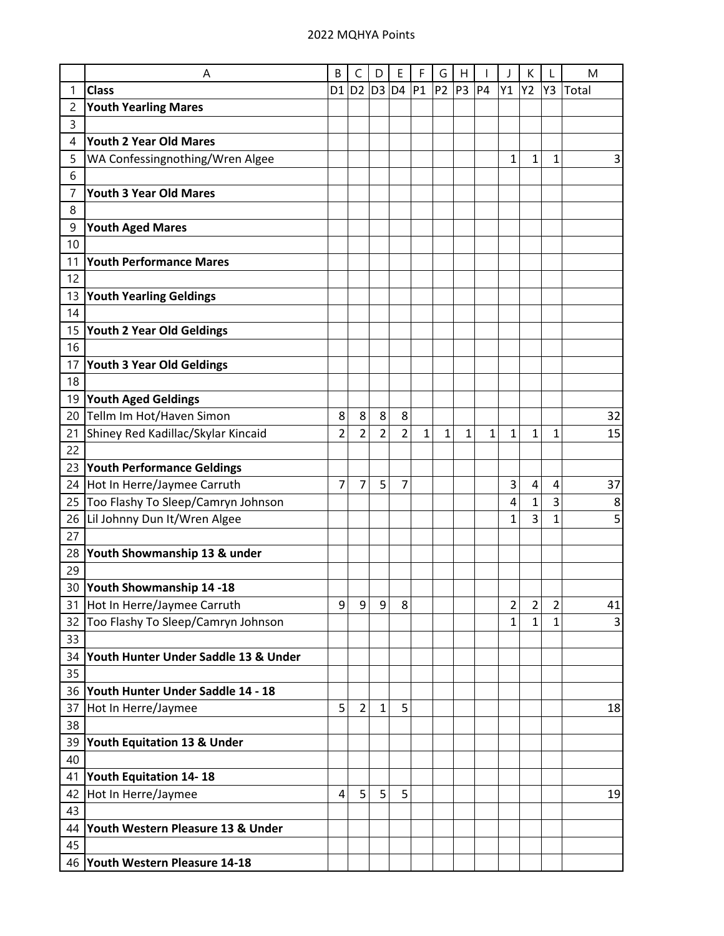|    | A                                    | B              | C              | D              | Е              | F            | G              | Н              |              |                | Κ  |                | M     |
|----|--------------------------------------|----------------|----------------|----------------|----------------|--------------|----------------|----------------|--------------|----------------|----|----------------|-------|
| 1  | <b>Class</b>                         | D <sub>1</sub> | D <sub>2</sub> | D <sub>3</sub> | D <sub>4</sub> | P1           | P <sub>2</sub> | P <sub>3</sub> | <b>P4</b>    | Y1             | Y2 | Y3             | Total |
| 2  | <b>Youth Yearling Mares</b>          |                |                |                |                |              |                |                |              |                |    |                |       |
| 3  |                                      |                |                |                |                |              |                |                |              |                |    |                |       |
| 4  | <b>Youth 2 Year Old Mares</b>        |                |                |                |                |              |                |                |              |                |    |                |       |
| 5  | WA Confessingnothing/Wren Algee      |                |                |                |                |              |                |                |              | 1              | 1  | 1              | 3     |
| 6  |                                      |                |                |                |                |              |                |                |              |                |    |                |       |
| 7  | <b>Youth 3 Year Old Mares</b>        |                |                |                |                |              |                |                |              |                |    |                |       |
| 8  |                                      |                |                |                |                |              |                |                |              |                |    |                |       |
| 9  | <b>Youth Aged Mares</b>              |                |                |                |                |              |                |                |              |                |    |                |       |
| 10 |                                      |                |                |                |                |              |                |                |              |                |    |                |       |
| 11 | <b>Youth Performance Mares</b>       |                |                |                |                |              |                |                |              |                |    |                |       |
| 12 |                                      |                |                |                |                |              |                |                |              |                |    |                |       |
| 13 | <b>Youth Yearling Geldings</b>       |                |                |                |                |              |                |                |              |                |    |                |       |
| 14 |                                      |                |                |                |                |              |                |                |              |                |    |                |       |
| 15 | <b>Youth 2 Year Old Geldings</b>     |                |                |                |                |              |                |                |              |                |    |                |       |
| 16 |                                      |                |                |                |                |              |                |                |              |                |    |                |       |
| 17 | <b>Youth 3 Year Old Geldings</b>     |                |                |                |                |              |                |                |              |                |    |                |       |
| 18 |                                      |                |                |                |                |              |                |                |              |                |    |                |       |
| 19 | <b>Youth Aged Geldings</b>           |                |                |                |                |              |                |                |              |                |    |                |       |
| 20 | Tellm Im Hot/Haven Simon             | 8              | 8              | 8              | 8              |              |                |                |              |                |    |                | 32    |
| 21 | Shiney Red Kadillac/Skylar Kincaid   | $\overline{2}$ | $\overline{2}$ | $\overline{2}$ | $\overline{2}$ | $\mathbf{1}$ | $\mathbf{1}$   | 1              | $\mathbf{1}$ | 1              | 1  | 1              | 15    |
| 22 |                                      |                |                |                |                |              |                |                |              |                |    |                |       |
| 23 | <b>Youth Performance Geldings</b>    |                |                |                |                |              |                |                |              |                |    |                |       |
| 24 | Hot In Herre/Jaymee Carruth          | 7              | 7              | 5              | 7              |              |                |                |              | 3              | 4  | 4              | 37    |
| 25 | Too Flashy To Sleep/Camryn Johnson   |                |                |                |                |              |                |                |              | 4              | 1  | 3              | 8     |
| 26 | Lil Johnny Dun It/Wren Algee         |                |                |                |                |              |                |                |              | 1              | 3  | 1              | 5     |
| 27 |                                      |                |                |                |                |              |                |                |              |                |    |                |       |
| 28 | Youth Showmanship 13 & under         |                |                |                |                |              |                |                |              |                |    |                |       |
| 29 |                                      |                |                |                |                |              |                |                |              |                |    |                |       |
| 30 | Youth Showmanship 14-18              |                |                |                |                |              |                |                |              |                |    |                |       |
| 31 | Hot In Herre/Jaymee Carruth          | 9              | 9              | 9              | 8              |              |                |                |              | $\overline{2}$ | 2  | $\overline{2}$ | 41    |
| 32 | Too Flashy To Sleep/Camryn Johnson   |                |                |                |                |              |                |                |              | 1              | 1  | 1              | 3     |
| 33 |                                      |                |                |                |                |              |                |                |              |                |    |                |       |
| 34 | Youth Hunter Under Saddle 13 & Under |                |                |                |                |              |                |                |              |                |    |                |       |
| 35 |                                      |                |                |                |                |              |                |                |              |                |    |                |       |
| 36 | Youth Hunter Under Saddle 14 - 18    |                |                |                |                |              |                |                |              |                |    |                |       |
| 37 | Hot In Herre/Jaymee                  | 5              | $\overline{2}$ | $\mathbf{1}$   | 5              |              |                |                |              |                |    |                | 18    |
| 38 |                                      |                |                |                |                |              |                |                |              |                |    |                |       |
| 39 | Youth Equitation 13 & Under          |                |                |                |                |              |                |                |              |                |    |                |       |
| 40 |                                      |                |                |                |                |              |                |                |              |                |    |                |       |
| 41 | Youth Equitation 14-18               |                |                |                |                |              |                |                |              |                |    |                |       |
| 42 | Hot In Herre/Jaymee                  | 4              | 5              | 5              | 5              |              |                |                |              |                |    |                | 19    |
| 43 |                                      |                |                |                |                |              |                |                |              |                |    |                |       |
| 44 | Youth Western Pleasure 13 & Under    |                |                |                |                |              |                |                |              |                |    |                |       |
| 45 |                                      |                |                |                |                |              |                |                |              |                |    |                |       |
|    | 46 Youth Western Pleasure 14-18      |                |                |                |                |              |                |                |              |                |    |                |       |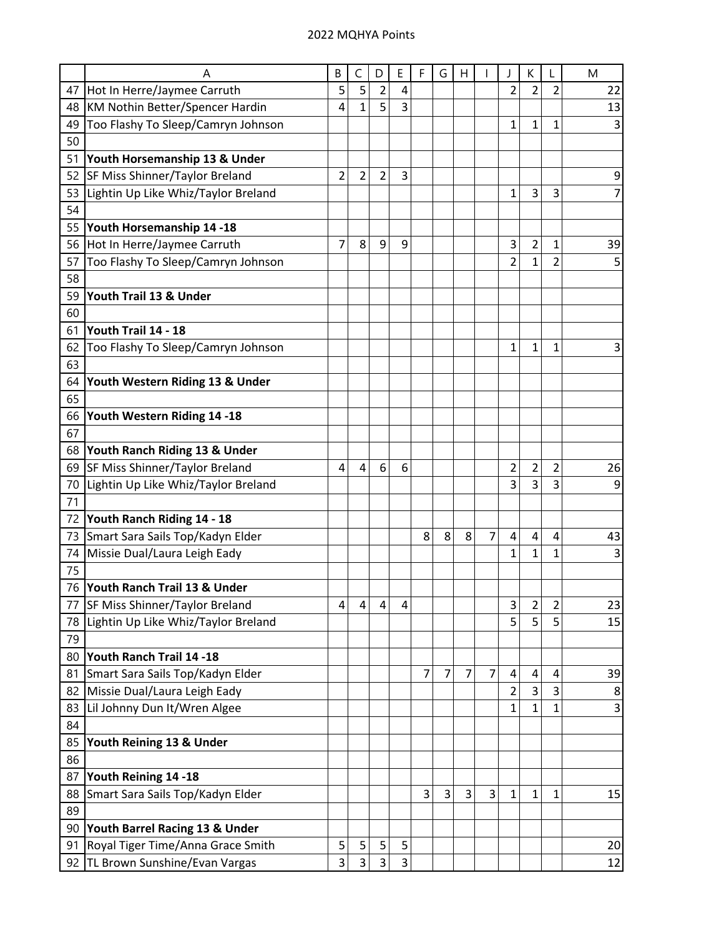|    | A                                   | B              | C              | D              | Е | F | G | н              |                |                | Κ              |                | M              |
|----|-------------------------------------|----------------|----------------|----------------|---|---|---|----------------|----------------|----------------|----------------|----------------|----------------|
|    | 47 Hot In Herre/Jaymee Carruth      | 5              | 5              | $\overline{2}$ | 4 |   |   |                |                | 2              | $\overline{2}$ | $\overline{2}$ | 22             |
| 48 | KM Nothin Better/Spencer Hardin     | 4              | $\mathbf{1}$   | 5              | 3 |   |   |                |                |                |                |                | 13             |
| 49 | Too Flashy To Sleep/Camryn Johnson  |                |                |                |   |   |   |                |                | $\mathbf 1$    | 1              | 1              | 3              |
| 50 |                                     |                |                |                |   |   |   |                |                |                |                |                |                |
| 51 | Youth Horsemanship 13 & Under       |                |                |                |   |   |   |                |                |                |                |                |                |
| 52 | SF Miss Shinner/Taylor Breland      | $\overline{2}$ | $\overline{2}$ | $\overline{2}$ | 3 |   |   |                |                |                |                |                | 9              |
| 53 | Lightin Up Like Whiz/Taylor Breland |                |                |                |   |   |   |                |                | 1              | 3              | 3              | $\overline{7}$ |
| 54 |                                     |                |                |                |   |   |   |                |                |                |                |                |                |
| 55 | Youth Horsemanship 14 -18           |                |                |                |   |   |   |                |                |                |                |                |                |
|    | 56 Hot In Herre/Jaymee Carruth      | 7              | 8              | 9              | 9 |   |   |                |                | 3              | $\overline{c}$ | 1              | 39             |
| 57 | Too Flashy To Sleep/Camryn Johnson  |                |                |                |   |   |   |                |                | $\overline{2}$ | 1              | 2              | 5              |
| 58 |                                     |                |                |                |   |   |   |                |                |                |                |                |                |
| 59 | Youth Trail 13 & Under              |                |                |                |   |   |   |                |                |                |                |                |                |
| 60 |                                     |                |                |                |   |   |   |                |                |                |                |                |                |
| 61 | Youth Trail 14 - 18                 |                |                |                |   |   |   |                |                |                |                |                |                |
| 62 | Too Flashy To Sleep/Camryn Johnson  |                |                |                |   |   |   |                |                | 1              | 1              | 1              | 3              |
| 63 |                                     |                |                |                |   |   |   |                |                |                |                |                |                |
| 64 | Youth Western Riding 13 & Under     |                |                |                |   |   |   |                |                |                |                |                |                |
| 65 |                                     |                |                |                |   |   |   |                |                |                |                |                |                |
| 66 | Youth Western Riding 14 -18         |                |                |                |   |   |   |                |                |                |                |                |                |
| 67 |                                     |                |                |                |   |   |   |                |                |                |                |                |                |
| 68 | Youth Ranch Riding 13 & Under       |                |                |                |   |   |   |                |                |                |                |                |                |
| 69 | SF Miss Shinner/Taylor Breland      | 4              | 4              | 6              | 6 |   |   |                |                | $\overline{c}$ | $\overline{2}$ | 2              | 26             |
| 70 | Lightin Up Like Whiz/Taylor Breland |                |                |                |   |   |   |                |                | 3              | 3              | 3              | 9              |
| 71 |                                     |                |                |                |   |   |   |                |                |                |                |                |                |
| 72 | Youth Ranch Riding 14 - 18          |                |                |                |   |   |   |                |                |                |                |                |                |
| 73 | Smart Sara Sails Top/Kadyn Elder    |                |                |                |   | 8 | 8 | 8              | 7              | 4              | 4              | 4              | 43             |
| 74 | Missie Dual/Laura Leigh Eady        |                |                |                |   |   |   |                |                | 1              | $\mathbf{1}$   | $\overline{1}$ | 3              |
| 75 |                                     |                |                |                |   |   |   |                |                |                |                |                |                |
| 76 | Youth Ranch Trail 13 & Under        |                |                |                |   |   |   |                |                |                |                |                |                |
| 77 | SF Miss Shinner/Taylor Breland      | 4              | 4              | 4              | 4 |   |   |                |                | 3              | 2              | $\overline{2}$ | 23             |
| 78 | Lightin Up Like Whiz/Taylor Breland |                |                |                |   |   |   |                |                | 5              | 5              | 5              | 15             |
| 79 |                                     |                |                |                |   |   |   |                |                |                |                |                |                |
| 80 | Youth Ranch Trail 14 -18            |                |                |                |   |   |   |                |                |                |                |                |                |
| 81 | Smart Sara Sails Top/Kadyn Elder    |                |                |                |   | 7 | 7 | $\overline{7}$ | $\overline{7}$ | 4              | 4              | 4              | 39             |
| 82 | Missie Dual/Laura Leigh Eady        |                |                |                |   |   |   |                |                | 2              | 3              | 3              | 8              |
| 83 | Lil Johnny Dun It/Wren Algee        |                |                |                |   |   |   |                |                | 1              | 1              | $\mathbf 1$    | 3              |
| 84 |                                     |                |                |                |   |   |   |                |                |                |                |                |                |
| 85 | Youth Reining 13 & Under            |                |                |                |   |   |   |                |                |                |                |                |                |
| 86 |                                     |                |                |                |   |   |   |                |                |                |                |                |                |
| 87 | Youth Reining 14 -18                |                |                |                |   |   |   |                |                |                |                |                |                |
| 88 | Smart Sara Sails Top/Kadyn Elder    |                |                |                |   | 3 | 3 | 3              | 3              | 1              | 1              | 1              | 15             |
| 89 |                                     |                |                |                |   |   |   |                |                |                |                |                |                |
| 90 | Youth Barrel Racing 13 & Under      |                |                |                |   |   |   |                |                |                |                |                |                |
| 91 | Royal Tiger Time/Anna Grace Smith   | 5              | 5              | 5              | 5 |   |   |                |                |                |                |                | 20             |
|    | 92 TL Brown Sunshine/Evan Vargas    | 3              | 3              | 3              | 3 |   |   |                |                |                |                |                | 12             |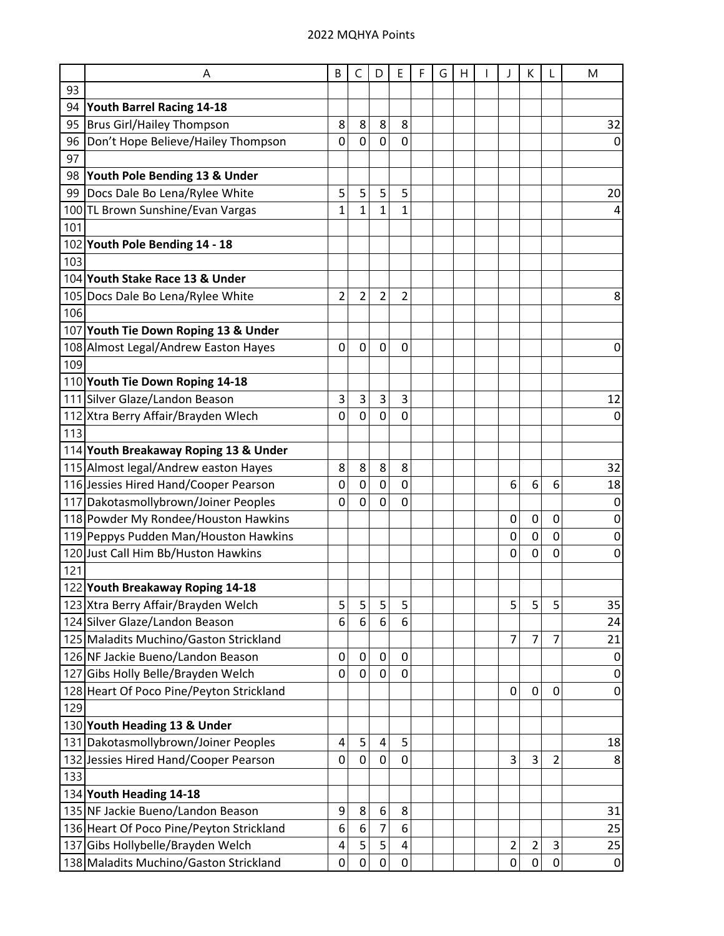|     | Α                                        | B              | C              | D              | E              | F | G | Н |                  | К              |                | M              |
|-----|------------------------------------------|----------------|----------------|----------------|----------------|---|---|---|------------------|----------------|----------------|----------------|
| 93  |                                          |                |                |                |                |   |   |   |                  |                |                |                |
| 94  | Youth Barrel Racing 14-18                |                |                |                |                |   |   |   |                  |                |                |                |
| 95  | <b>Brus Girl/Hailey Thompson</b>         | 8              | 8              | 8              | 8              |   |   |   |                  |                |                | 32             |
| 96  | Don't Hope Believe/Hailey Thompson       | 0              | $\mathbf 0$    | $\overline{0}$ | $\mathbf 0$    |   |   |   |                  |                |                | 0              |
| 97  |                                          |                |                |                |                |   |   |   |                  |                |                |                |
| 98  | Youth Pole Bending 13 & Under            |                |                |                |                |   |   |   |                  |                |                |                |
| 99  | Docs Dale Bo Lena/Rylee White            | 5              | 5              | 5              | 5              |   |   |   |                  |                |                | 20             |
|     | 100 TL Brown Sunshine/Evan Vargas        | 1              | $\mathbf{1}$   | $\mathbf{1}$   | $\overline{1}$ |   |   |   |                  |                |                | 4              |
| 101 |                                          |                |                |                |                |   |   |   |                  |                |                |                |
|     | 102 Youth Pole Bending 14 - 18           |                |                |                |                |   |   |   |                  |                |                |                |
| 103 |                                          |                |                |                |                |   |   |   |                  |                |                |                |
|     | 104 Youth Stake Race 13 & Under          |                |                |                |                |   |   |   |                  |                |                |                |
|     | 105 Docs Dale Bo Lena/Rylee White        | $\overline{2}$ | $\overline{c}$ | $\overline{2}$ | $\overline{2}$ |   |   |   |                  |                |                | 8              |
| 106 |                                          |                |                |                |                |   |   |   |                  |                |                |                |
|     | 107 Youth Tie Down Roping 13 & Under     |                |                |                |                |   |   |   |                  |                |                |                |
|     | 108 Almost Legal/Andrew Easton Hayes     | 0              | 0              | $\mathbf 0$    | 0              |   |   |   |                  |                |                | 0              |
| 109 |                                          |                |                |                |                |   |   |   |                  |                |                |                |
|     | 110 Youth Tie Down Roping 14-18          |                |                |                |                |   |   |   |                  |                |                |                |
|     | 111 Silver Glaze/Landon Beason           | 3              | 3              | 3              | 3              |   |   |   |                  |                |                | 12             |
|     | 112 Xtra Berry Affair/Brayden Wlech      | 0              | $\mathbf 0$    | $\overline{0}$ | $\overline{0}$ |   |   |   |                  |                |                | $\mathbf 0$    |
| 113 |                                          |                |                |                |                |   |   |   |                  |                |                |                |
|     | 114 Youth Breakaway Roping 13 & Under    |                |                |                |                |   |   |   |                  |                |                |                |
|     | 115 Almost legal/Andrew easton Hayes     | 8              | 8              | 8              | 8              |   |   |   |                  |                |                | 32             |
|     | 116 Jessies Hired Hand/Cooper Pearson    | 0              | 0              | 0              | 0              |   |   |   | 6                | 6              | 6              | 18             |
|     | 117 Dakotasmollybrown/Joiner Peoples     | 0              | $\mathbf 0$    | $\mathbf 0$    | $\mathbf 0$    |   |   |   |                  |                |                | $\pmb{0}$      |
|     | 118 Powder My Rondee/Houston Hawkins     |                |                |                |                |   |   |   | 0                | 0              | 0              | 0              |
|     | 119 Peppys Pudden Man/Houston Hawkins    |                |                |                |                |   |   |   | $\mathbf 0$      | 0              | 0              | 0              |
|     | 120 Just Call Him Bb/Huston Hawkins      |                |                |                |                |   |   |   | 0                | 0              | 0              | 0              |
| 121 |                                          |                |                |                |                |   |   |   |                  |                |                |                |
|     | 122 Youth Breakaway Roping 14-18         |                |                |                |                |   |   |   |                  |                |                |                |
|     | 123 Xtra Berry Affair/Brayden Welch      | 5              | 5              | 5              | 5              |   |   |   | 5                | 5              | 5              | 35             |
|     | 124 Silver Glaze/Landon Beason           | 6              | 6              | 6              | 6              |   |   |   |                  |                |                | 24             |
|     | 125 Maladits Muchino/Gaston Strickland   |                |                |                |                |   |   |   | 7                | 7              | 7              | 21             |
|     | 126 NF Jackie Bueno/Landon Beason        | 0              | 0              | 0              | 0              |   |   |   |                  |                |                | 0              |
|     | 127 Gibs Holly Belle/Brayden Welch       | 0              | $\mathbf 0$    | $\mathbf 0$    | 0              |   |   |   |                  |                |                | 0              |
|     | 128 Heart Of Poco Pine/Peyton Strickland |                |                |                |                |   |   |   | $\mathbf 0$      | 0              | 0              | $\pmb{0}$      |
| 129 |                                          |                |                |                |                |   |   |   |                  |                |                |                |
|     | 130 Youth Heading 13 & Under             |                |                |                |                |   |   |   |                  |                |                |                |
|     | 131 Dakotasmollybrown/Joiner Peoples     | 4              | 5              | 4              | 5              |   |   |   |                  |                |                | 18             |
| 132 | Jessies Hired Hand/Cooper Pearson        | 0              | 0              | 0              | 0              |   |   |   | 3                | 3              | $\overline{c}$ | 8              |
| 133 |                                          |                |                |                |                |   |   |   |                  |                |                |                |
|     | 134 Youth Heading 14-18                  |                |                |                |                |   |   |   |                  |                |                |                |
|     | 135 NF Jackie Bueno/Landon Beason        | 9              | 8              | 6              | 8              |   |   |   |                  |                |                | 31             |
|     | 136 Heart Of Poco Pine/Peyton Strickland | 6              | 6              | $\overline{7}$ | 6              |   |   |   |                  |                |                | 25             |
|     | 137 Gibs Hollybelle/Brayden Welch        | 4              | 5              | 5              | 4              |   |   |   | $\overline{2}$   | $\overline{c}$ | 3              | 25             |
|     | 138 Maladits Muchino/Gaston Strickland   | 0              | 0              | 0              | 0              |   |   |   | $\boldsymbol{0}$ | 0              | 0              | $\overline{0}$ |